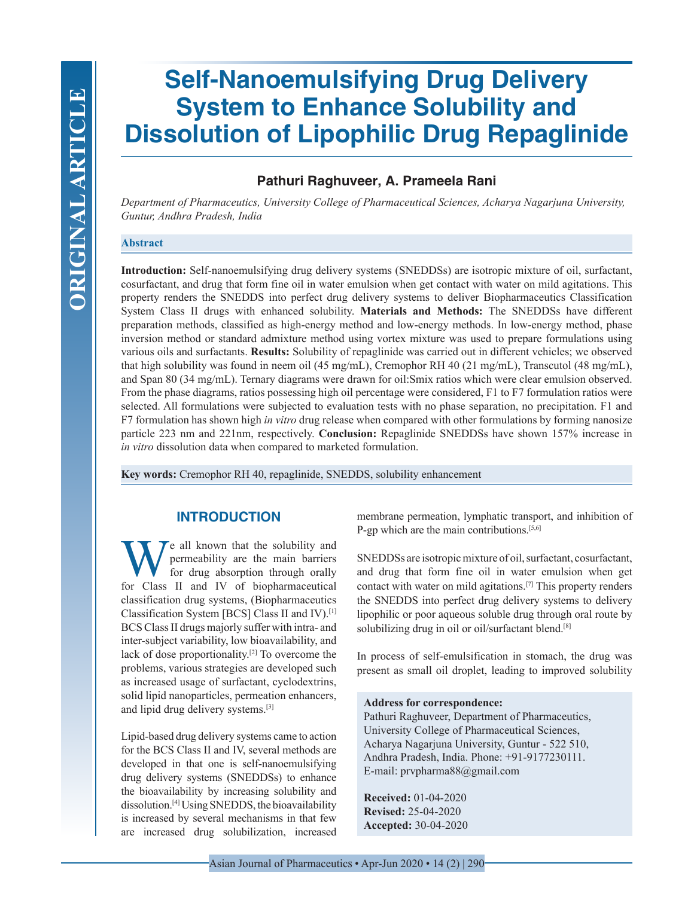# **Self-Nanoemulsifying Drug Delivery System to Enhance Solubility and Dissolution of Lipophilic Drug Repaglinide**

# **Pathuri Raghuveer, A. Prameela Rani**

*Department of Pharmaceutics, University College of Pharmaceutical Sciences, Acharya Nagarjuna University, Guntur, Andhra Pradesh, India*

## **Abstract**

**Introduction:** Self-nanoemulsifying drug delivery systems (SNEDDSs) are isotropic mixture of oil, surfactant, cosurfactant, and drug that form fine oil in water emulsion when get contact with water on mild agitations. This property renders the SNEDDS into perfect drug delivery systems to deliver Biopharmaceutics Classification System Class II drugs with enhanced solubility. **Materials and Methods:** The SNEDDSs have different preparation methods, classified as high-energy method and low-energy methods. In low-energy method, phase inversion method or standard admixture method using vortex mixture was used to prepare formulations using various oils and surfactants. **Results:** Solubility of repaglinide was carried out in different vehicles; we observed that high solubility was found in neem oil (45 mg/mL), Cremophor RH 40 (21 mg/mL), Transcutol (48 mg/mL), and Span 80 (34 mg/mL). Ternary diagrams were drawn for oil:Smix ratios which were clear emulsion observed. From the phase diagrams, ratios possessing high oil percentage were considered, F1 to F7 formulation ratios were selected. All formulations were subjected to evaluation tests with no phase separation, no precipitation. F1 and F7 formulation has shown high *in vitro* drug release when compared with other formulations by forming nanosize particle 223 nm and 221nm, respectively. **Conclusion:** Repaglinide SNEDDSs have shown 157% increase in *in vitro* dissolution data when compared to marketed formulation.

**Key words:** Cremophor RH 40, repaglinide, SNEDDS, solubility enhancement

# **INTRODUCTION**

We all known that the solubility and<br>for drug absorption through orally<br>for Class II and IV of biopharmaceutical permeability are the main barriers for drug absorption through orally for Class II and IV of biopharmaceutical classification drug systems, (Biopharmaceutics Classification System [BCS] Class II and IV).[1] BCS Class II drugs majorly suffer with intra- and inter-subject variability, low bioavailability, and lack of dose proportionality.[2] To overcome the problems, various strategies are developed such as increased usage of surfactant, cyclodextrins, solid lipid nanoparticles, permeation enhancers, and lipid drug delivery systems.[3]

Lipid-based drug delivery systems came to action for the BCS Class II and IV, several methods are developed in that one is self-nanoemulsifying drug delivery systems (SNEDDSs) to enhance the bioavailability by increasing solubility and dissolution.[4] Using SNEDDS, the bioavailability is increased by several mechanisms in that few are increased drug solubilization, increased

membrane permeation, lymphatic transport, and inhibition of P-gp which are the main contributions.<sup>[5,6]</sup>

SNEDDSs are isotropic mixture of oil, surfactant, cosurfactant, and drug that form fine oil in water emulsion when get contact with water on mild agitations.[7] This property renders the SNEDDS into perfect drug delivery systems to delivery lipophilic or poor aqueous soluble drug through oral route by solubilizing drug in oil or oil/surfactant blend.<sup>[8]</sup>

In process of self-emulsification in stomach, the drug was present as small oil droplet, leading to improved solubility

### **Address for correspondence:**

Pathuri Raghuveer, Department of Pharmaceutics, University College of Pharmaceutical Sciences, Acharya Nagarjuna University, Guntur - 522 510, Andhra Pradesh, India. Phone: +91-9177230111. E-mail: prvpharma88@gmail.com

**Received:** 01-04-2020 **Revised:** 25-04-2020 **Accepted:** 30-04-2020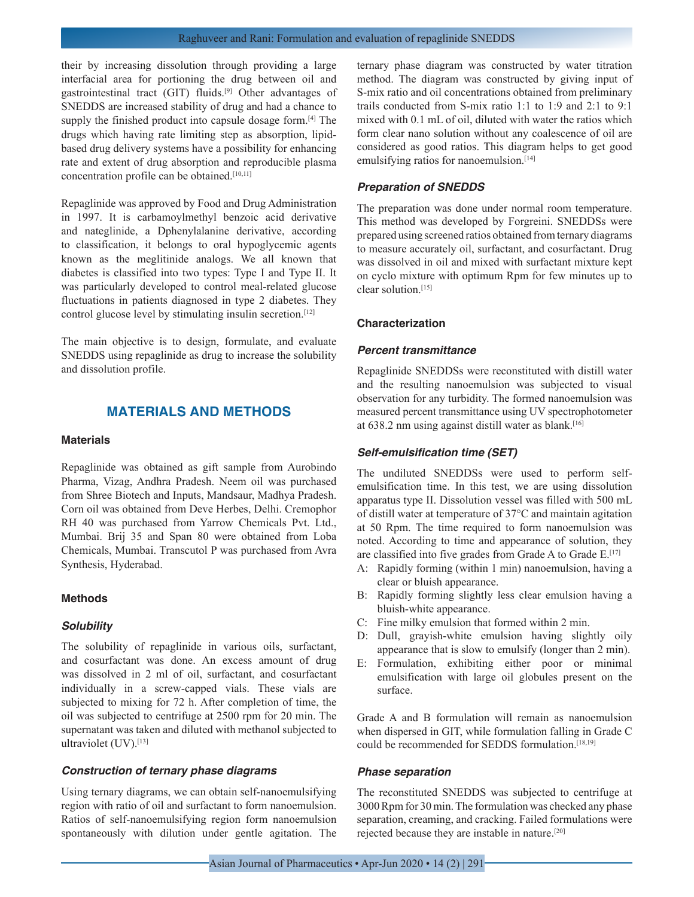their by increasing dissolution through providing a large interfacial area for portioning the drug between oil and gastrointestinal tract (GIT) fluids.[9] Other advantages of SNEDDS are increased stability of drug and had a chance to supply the finished product into capsule dosage form.<sup>[4]</sup> The drugs which having rate limiting step as absorption, lipidbased drug delivery systems have a possibility for enhancing rate and extent of drug absorption and reproducible plasma concentration profile can be obtained.<sup>[10,11]</sup>

Repaglinide was approved by Food and Drug Administration in 1997. It is carbamoylmethyl benzoic acid derivative and nateglinide, a Dphenylalanine derivative, according to classification, it belongs to oral hypoglycemic agents known as the meglitinide analogs. We all known that diabetes is classified into two types: Type I and Type II. It was particularly developed to control meal-related glucose fluctuations in patients diagnosed in type 2 diabetes. They control glucose level by stimulating insulin secretion.[12]

The main objective is to design, formulate, and evaluate SNEDDS using repaglinide as drug to increase the solubility and dissolution profile.

# **MATERIALS AND METHODS**

#### **Materials**

Repaglinide was obtained as gift sample from Aurobindo Pharma, Vizag, Andhra Pradesh. Neem oil was purchased from Shree Biotech and Inputs, Mandsaur, Madhya Pradesh. Corn oil was obtained from Deve Herbes, Delhi. Cremophor RH 40 was purchased from Yarrow Chemicals Pvt. Ltd., Mumbai. Brij 35 and Span 80 were obtained from Loba Chemicals, Mumbai. Transcutol P was purchased from Avra Synthesis, Hyderabad.

## **Methods**

#### *Solubility*

The solubility of repaglinide in various oils, surfactant, and cosurfactant was done. An excess amount of drug was dissolved in 2 ml of oil, surfactant, and cosurfactant individually in a screw-capped vials. These vials are subjected to mixing for 72 h. After completion of time, the oil was subjected to centrifuge at 2500 rpm for 20 min. The supernatant was taken and diluted with methanol subjected to ultraviolet (UV).<sup>[13]</sup>

#### *Construction of ternary phase diagrams*

Using ternary diagrams, we can obtain self-nanoemulsifying region with ratio of oil and surfactant to form nanoemulsion. Ratios of self-nanoemulsifying region form nanoemulsion spontaneously with dilution under gentle agitation. The ternary phase diagram was constructed by water titration method. The diagram was constructed by giving input of S-mix ratio and oil concentrations obtained from preliminary trails conducted from S-mix ratio 1:1 to 1:9 and 2:1 to 9:1 mixed with 0.1 mL of oil, diluted with water the ratios which form clear nano solution without any coalescence of oil are considered as good ratios. This diagram helps to get good emulsifying ratios for nanoemulsion.<sup>[14]</sup>

## *Preparation of SNEDDS*

The preparation was done under normal room temperature. This method was developed by Forgreini. SNEDDSs were prepared using screened ratios obtained from ternary diagrams to measure accurately oil, surfactant, and cosurfactant. Drug was dissolved in oil and mixed with surfactant mixture kept on cyclo mixture with optimum Rpm for few minutes up to clear solution<sup>[15]</sup>

## **Characterization**

### *Percent transmittance*

Repaglinide SNEDDSs were reconstituted with distill water and the resulting nanoemulsion was subjected to visual observation for any turbidity. The formed nanoemulsion was measured percent transmittance using UV spectrophotometer at 638.2 nm using against distill water as blank.[16]

#### *Self-emulsification time (SET)*

The undiluted SNEDDSs were used to perform selfemulsification time. In this test, we are using dissolution apparatus type II. Dissolution vessel was filled with 500 mL of distill water at temperature of 37°C and maintain agitation at 50 Rpm. The time required to form nanoemulsion was noted. According to time and appearance of solution, they are classified into five grades from Grade A to Grade E.<sup>[17]</sup>

- A: Rapidly forming (within 1 min) nanoemulsion, having a clear or bluish appearance.
- B: Rapidly forming slightly less clear emulsion having a bluish-white appearance.
- C: Fine milky emulsion that formed within 2 min.
- D: Dull, grayish-white emulsion having slightly oily appearance that is slow to emulsify (longer than 2 min).
- E: Formulation, exhibiting either poor or minimal emulsification with large oil globules present on the surface.

Grade A and B formulation will remain as nanoemulsion when dispersed in GIT, while formulation falling in Grade C could be recommended for SEDDS formulation.[18,19]

## *Phase separation*

The reconstituted SNEDDS was subjected to centrifuge at 3000 Rpm for 30 min. The formulation was checked any phase separation, creaming, and cracking. Failed formulations were rejected because they are instable in nature.[20]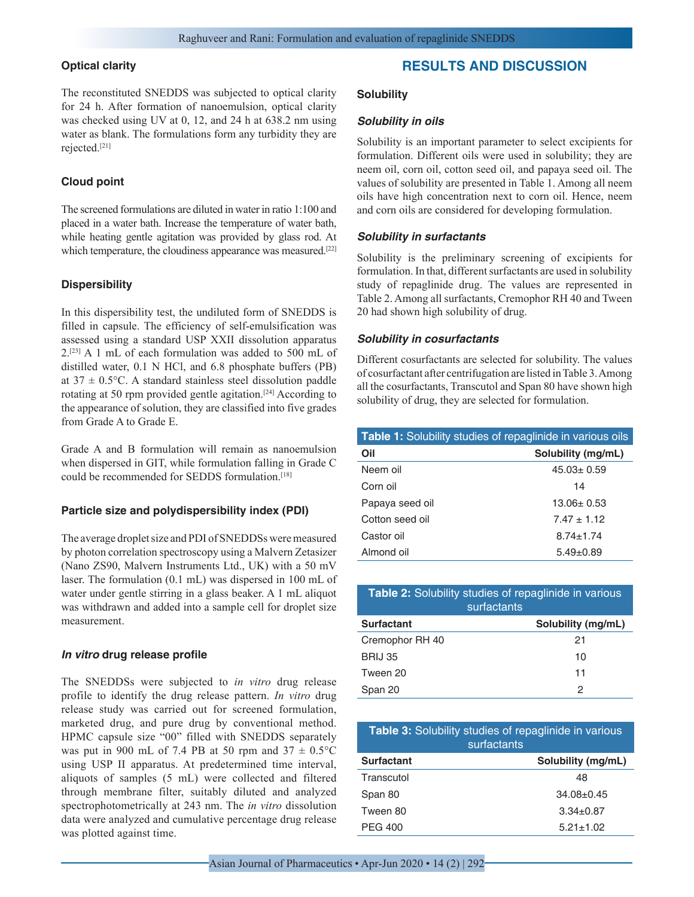## **Optical clarity**

The reconstituted SNEDDS was subjected to optical clarity for 24 h. After formation of nanoemulsion, optical clarity was checked using UV at 0, 12, and 24 h at 638.2 nm using water as blank. The formulations form any turbidity they are rejected.[21]

## **Cloud point**

The screened formulations are diluted in water in ratio 1:100 and placed in a water bath. Increase the temperature of water bath, while heating gentle agitation was provided by glass rod. At which temperature, the cloudiness appearance was measured.<sup>[22]</sup>

## **Dispersibility**

In this dispersibility test, the undiluted form of SNEDDS is filled in capsule. The efficiency of self-emulsification was assessed using a standard USP XXII dissolution apparatus 2.[23] A 1 mL of each formulation was added to 500 mL of distilled water, 0.1 N HCl, and 6.8 phosphate buffers (PB) at  $37 \pm 0.5$ °C. A standard stainless steel dissolution paddle rotating at 50 rpm provided gentle agitation.<sup>[24]</sup> According to the appearance of solution, they are classified into five grades from Grade A to Grade E.

Grade A and B formulation will remain as nanoemulsion when dispersed in GIT, while formulation falling in Grade C could be recommended for SEDDS formulation.[18]

## **Particle size and polydispersibility index (PDI)**

The average droplet size and PDI of SNEDDSs were measured by photon correlation spectroscopy using a Malvern Zetasizer (Nano ZS90, Malvern Instruments Ltd., UK) with a 50 mV laser. The formulation (0.1 mL) was dispersed in 100 mL of water under gentle stirring in a glass beaker. A 1 mL aliquot was withdrawn and added into a sample cell for droplet size measurement.

## *In vitro* **drug release profile**

The SNEDDSs were subjected to *in vitro* drug release profile to identify the drug release pattern. *In vitro* drug release study was carried out for screened formulation, marketed drug, and pure drug by conventional method. HPMC capsule size "00" filled with SNEDDS separately was put in 900 mL of 7.4 PB at 50 rpm and  $37 \pm 0.5^{\circ}$ C using USP II apparatus. At predetermined time interval, aliquots of samples (5 mL) were collected and filtered through membrane filter, suitably diluted and analyzed spectrophotometrically at 243 nm. The *in vitro* dissolution data were analyzed and cumulative percentage drug release was plotted against time.

# **RESULTS AND DISCUSSION**

## **Solubility**

## *Solubility in oils*

Solubility is an important parameter to select excipients for formulation. Different oils were used in solubility; they are neem oil, corn oil, cotton seed oil, and papaya seed oil. The values of solubility are presented in Table 1. Among all neem oils have high concentration next to corn oil. Hence, neem and corn oils are considered for developing formulation.

## *Solubility in surfactants*

Solubility is the preliminary screening of excipients for formulation. In that, different surfactants are used in solubility study of repaglinide drug. The values are represented in Table 2. Among all surfactants, Cremophor RH 40 and Tween 20 had shown high solubility of drug.

## *Solubility in cosurfactants*

Different cosurfactants are selected for solubility. The values of cosurfactant after centrifugation are listed in Table 3. Among all the cosurfactants, Transcutol and Span 80 have shown high solubility of drug, they are selected for formulation.

| <b>Table 1:</b> Solubility studies of repaglinide in various oils |                    |  |  |
|-------------------------------------------------------------------|--------------------|--|--|
| Oil                                                               | Solubility (mg/mL) |  |  |
| Neem oil                                                          | $45.03 \pm 0.59$   |  |  |
| Corn oil                                                          | 14                 |  |  |
| Papaya seed oil                                                   | 13.06+0.53         |  |  |
| Cotton seed oil                                                   | $7.47 + 1.12$      |  |  |
| Castor oil                                                        | $8.74 \pm 1.74$    |  |  |
| Almond oil                                                        | $5.49 \pm 0.89$    |  |  |

| <b>Table 2:</b> Solubility studies of repaglinide in various<br>surfactants |                    |  |  |
|-----------------------------------------------------------------------------|--------------------|--|--|
| <b>Surfactant</b>                                                           | Solubility (mg/mL) |  |  |
| Cremophor RH 40                                                             | 21                 |  |  |
| <b>BRIJ 35</b>                                                              | 10                 |  |  |
| Tween 20                                                                    | 11                 |  |  |
| Span 20                                                                     | 2                  |  |  |

| <b>Table 3:</b> Solubility studies of repaglinide in various<br>surfactants |                    |  |  |
|-----------------------------------------------------------------------------|--------------------|--|--|
| <b>Surfactant</b>                                                           | Solubility (mg/mL) |  |  |
| Transcutol                                                                  | 48                 |  |  |
| Span 80                                                                     | $34.08 \pm 0.45$   |  |  |
| Tween 80                                                                    | $3.34 \pm 0.87$    |  |  |
| <b>PEG 400</b>                                                              | $5.21 \pm 1.02$    |  |  |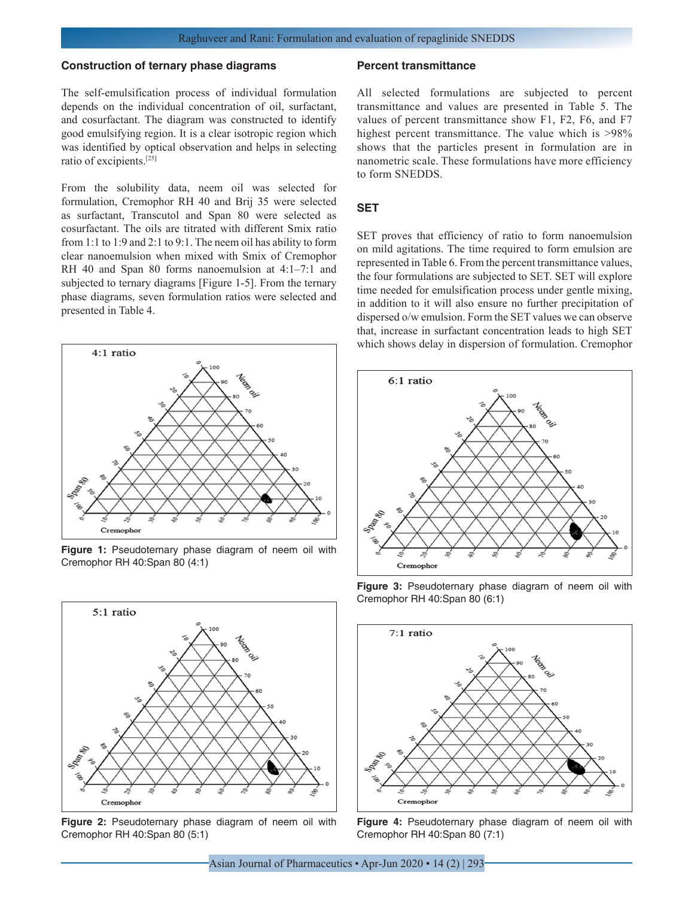#### **Construction of ternary phase diagrams**

The self-emulsification process of individual formulation depends on the individual concentration of oil, surfactant, and cosurfactant. The diagram was constructed to identify good emulsifying region. It is a clear isotropic region which was identified by optical observation and helps in selecting ratio of excipients.[25]

From the solubility data, neem oil was selected for formulation, Cremophor RH 40 and Brij 35 were selected as surfactant, Transcutol and Span 80 were selected as cosurfactant. The oils are titrated with different Smix ratio from 1:1 to 1:9 and 2:1 to 9:1. The neem oil has ability to form clear nanoemulsion when mixed with Smix of Cremophor RH 40 and Span 80 forms nanoemulsion at 4:1–7:1 and subjected to ternary diagrams [Figure 1-5]. From the ternary phase diagrams, seven formulation ratios were selected and presented in Table 4.



**Figure 1:** Pseudoternary phase diagram of neem oil with Cremophor RH 40:Span 80 (4:1)



**Figure 2:** Pseudoternary phase diagram of neem oil with Cremophor RH 40:Span 80 (5:1)

#### **Percent transmittance**

All selected formulations are subjected to percent transmittance and values are presented in Table 5. The values of percent transmittance show F1, F2, F6, and F7 highest percent transmittance. The value which is  $>98\%$ shows that the particles present in formulation are in nanometric scale. These formulations have more efficiency to form SNEDDS.

## **SET**

SET proves that efficiency of ratio to form nanoemulsion on mild agitations. The time required to form emulsion are represented in Table 6. From the percent transmittance values, the four formulations are subjected to SET. SET will explore time needed for emulsification process under gentle mixing, in addition to it will also ensure no further precipitation of dispersed o/w emulsion. Form the SET values we can observe that, increase in surfactant concentration leads to high SET which shows delay in dispersion of formulation. Cremophor



**Figure 3:** Pseudoternary phase diagram of neem oil with Cremophor RH 40:Span 80 (6:1)



**Figure 4:** Pseudoternary phase diagram of neem oil with Cremophor RH 40:Span 80 (7:1)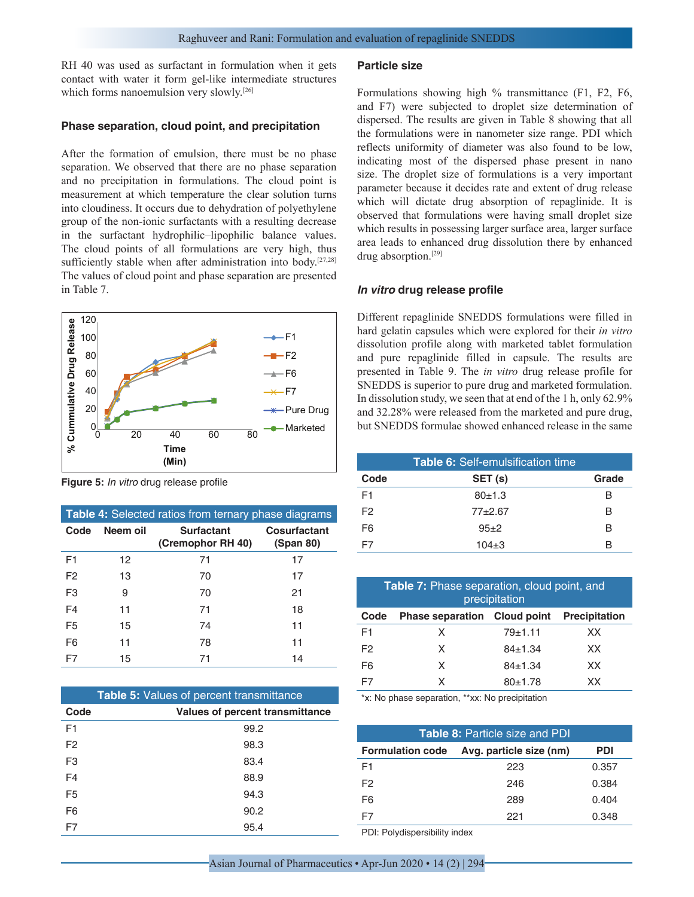RH 40 was used as surfactant in formulation when it gets contact with water it form gel-like intermediate structures which forms nanoemulsion very slowly.<sup>[26]</sup>

## **Phase separation, cloud point, and precipitation**

After the formation of emulsion, there must be no phase separation. We observed that there are no phase separation and no precipitation in formulations. The cloud point is measurement at which temperature the clear solution turns into cloudiness. It occurs due to dehydration of polyethylene group of the non-ionic surfactants with a resulting decrease in the surfactant hydrophilic–lipophilic balance values. The cloud points of all formulations are very high, thus sufficiently stable when after administration into body.<sup>[27,28]</sup> The values of cloud point and phase separation are presented in Table 7.



**Figure 5:** *In vitro* drug release profile

| <b>Table 4:</b> Selected ratios from ternary phase diagrams |          |                                        |                           |  |
|-------------------------------------------------------------|----------|----------------------------------------|---------------------------|--|
| Code                                                        | Neem oil | <b>Surfactant</b><br>(Cremophor RH 40) | Cosurfactant<br>(Span 80) |  |
| F <sub>1</sub>                                              | 12       | 71                                     | 17                        |  |
| F <sub>2</sub>                                              | 13       | 70                                     | 17                        |  |
| F <sub>3</sub>                                              | 9        | 70                                     | 21                        |  |
| F <sub>4</sub>                                              | 11       | 71                                     | 18                        |  |
| F <sub>5</sub>                                              | 15       | 74                                     | 11                        |  |
| F <sub>6</sub>                                              | 11       | 78                                     | 11                        |  |
| F7                                                          | 15       | 71                                     | 14                        |  |

| <b>Table 5: Values of percent transmittance</b> |                                 |  |  |  |
|-------------------------------------------------|---------------------------------|--|--|--|
| Code                                            | Values of percent transmittance |  |  |  |
| F <sub>1</sub>                                  | 99.2                            |  |  |  |
| F <sub>2</sub>                                  | 98.3                            |  |  |  |
| F <sub>3</sub>                                  | 83.4                            |  |  |  |
| F <sub>4</sub>                                  | 88.9                            |  |  |  |
| F <sub>5</sub>                                  | 94.3                            |  |  |  |
| F <sub>6</sub>                                  | 90.2                            |  |  |  |
| F7                                              | 95.4                            |  |  |  |

#### **Particle size**

Formulations showing high % transmittance (F1, F2, F6, and F7) were subjected to droplet size determination of dispersed. The results are given in Table 8 showing that all the formulations were in nanometer size range. PDI which reflects uniformity of diameter was also found to be low, indicating most of the dispersed phase present in nano size. The droplet size of formulations is a very important parameter because it decides rate and extent of drug release which will dictate drug absorption of repaglinide. It is observed that formulations were having small droplet size which results in possessing larger surface area, larger surface area leads to enhanced drug dissolution there by enhanced drug absorption.[29]

#### *In vitro* **drug release profile**

Different repaglinide SNEDDS formulations were filled in hard gelatin capsules which were explored for their *in vitro* dissolution profile along with marketed tablet formulation and pure repaglinide filled in capsule. The results are presented in Table 9. The *in vitro* drug release profile for SNEDDS is superior to pure drug and marketed formulation. In dissolution study, we seen that at end of the 1 h, only 62.9% and 32.28% were released from the marketed and pure drug,

| <b>Table 6:</b> Self-emulsification time |           |       |  |  |
|------------------------------------------|-----------|-------|--|--|
| Code                                     | SET (s)   | Grade |  |  |
| F1                                       | 80±1.3    | в     |  |  |
| F <sub>2</sub>                           | $77+2.67$ | R     |  |  |
| F <sub>6</sub>                           | $95+2$    | R     |  |  |
| F7                                       | $104 + 3$ | в     |  |  |

| Table 7: Phase separation, cloud point, and<br>precipitation |                                     |             |                      |  |
|--------------------------------------------------------------|-------------------------------------|-------------|----------------------|--|
| Code                                                         | <b>Phase separation Cloud point</b> |             | <b>Precipitation</b> |  |
| F1                                                           | X                                   | $79 + 1.11$ | XX                   |  |
| F <sub>2</sub>                                               | X                                   | $84 + 1.34$ | XX                   |  |
| F <sub>6</sub>                                               | x                                   | $84 + 1.34$ | XX                   |  |
| F7                                                           | x                                   | $80+1.78$   | XX.                  |  |

\*x: No phase separation, \*\*xx: No precipitation

| <b>Table 8: Particle size and PDI</b> |                         |            |  |  |
|---------------------------------------|-------------------------|------------|--|--|
| <b>Formulation code</b>               | Avg. particle size (nm) | <b>PDI</b> |  |  |
| F1                                    | 223                     | 0.357      |  |  |
| F <sub>2</sub>                        | 246                     | 0.384      |  |  |
| F <sub>6</sub>                        | 289                     | 0.404      |  |  |
| F7                                    | 221                     | 0.348      |  |  |

PDI: Polydispersibility index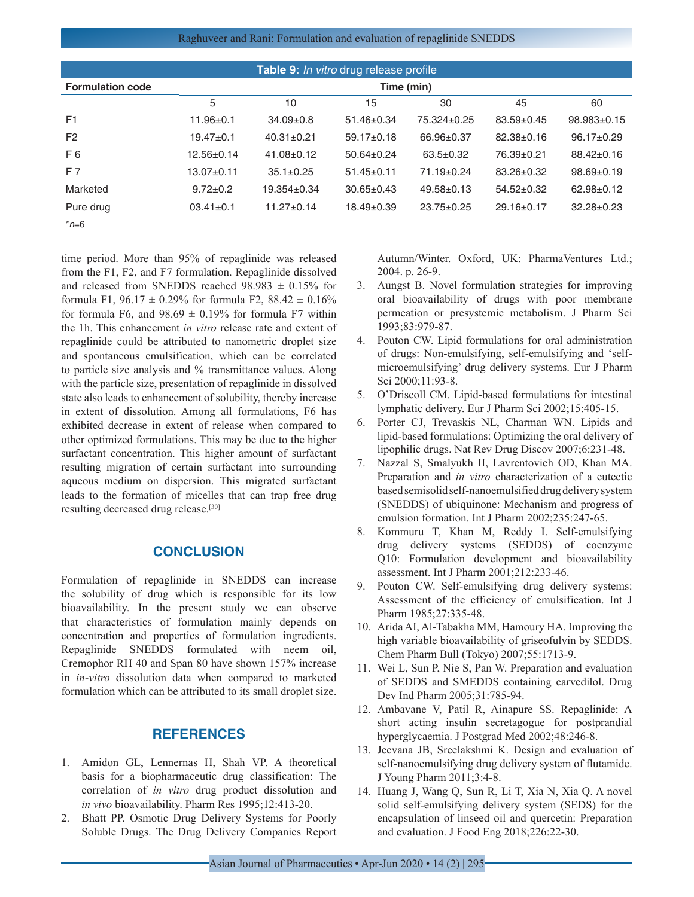Raghuveer and Rani: Formulation and evaluation of repaglinide SNEDDS

| <b>Table 9:</b> In vitro drug release profile |                  |                  |                  |                  |                  |                   |
|-----------------------------------------------|------------------|------------------|------------------|------------------|------------------|-------------------|
| <b>Formulation code</b>                       | Time (min)       |                  |                  |                  |                  |                   |
|                                               | 5                | 10               | 15               | 30               | 45               | 60                |
| F <sub>1</sub>                                | $11.96 \pm 0.1$  | $34.09 \pm 0.8$  | $51.46 \pm 0.34$ | 75.324±0.25      | $83.59 + 0.45$   | $98.983 \pm 0.15$ |
| F <sub>2</sub>                                | $19.47 + 0.1$    | $40.31 \pm 0.21$ | $59.17 \pm 0.18$ | $66.96 \pm 0.37$ | $82.38 \pm 0.16$ | $96.17 \pm 0.29$  |
| F <sub>6</sub>                                | $12.56 \pm 0.14$ | $41.08 \pm 0.12$ | $50.64 \pm 0.24$ | $63.5 \pm 0.32$  | 76.39±0.21       | $88.42 \pm 0.16$  |
| F 7                                           | $13.07+0.11$     | $35.1 \pm 0.25$  | $51.45 \pm 0.11$ | $71.19 \pm 0.24$ | $83.26 \pm 0.32$ | $98.69 \pm 0.19$  |
| Marketed                                      | $9.72 \pm 0.2$   | 19.354±0.34      | $30.65 \pm 0.43$ | $49.58 \pm 0.13$ | $54.52 \pm 0.32$ | $62.98 \pm 0.12$  |
| Pure drug                                     | $03.41 \pm 0.1$  | $11.27 \pm 0.14$ | $18.49 \pm 0.39$ | $23.75 \pm 0.25$ | $29.16 \pm 0.17$ | $32.28 \pm 0.23$  |

\**n*=6

time period. More than 95% of repaglinide was released from the F1, F2, and F7 formulation. Repaglinide dissolved and released from SNEDDS reached  $98.983 \pm 0.15\%$  for formula F1,  $96.17 \pm 0.29\%$  for formula F2,  $88.42 \pm 0.16\%$ for formula F6, and  $98.69 \pm 0.19\%$  for formula F7 within the 1h. This enhancement *in vitro* release rate and extent of repaglinide could be attributed to nanometric droplet size and spontaneous emulsification, which can be correlated to particle size analysis and % transmittance values. Along with the particle size, presentation of repaglinide in dissolved state also leads to enhancement of solubility, thereby increase in extent of dissolution. Among all formulations, F6 has exhibited decrease in extent of release when compared to other optimized formulations. This may be due to the higher surfactant concentration. This higher amount of surfactant resulting migration of certain surfactant into surrounding aqueous medium on dispersion. This migrated surfactant leads to the formation of micelles that can trap free drug resulting decreased drug release.[30]

## **CONCLUSION**

Formulation of repaglinide in SNEDDS can increase the solubility of drug which is responsible for its low bioavailability. In the present study we can observe that characteristics of formulation mainly depends on concentration and properties of formulation ingredients. Repaglinide SNEDDS formulated with neem oil, Cremophor RH 40 and Span 80 have shown 157% increase in *in-vitro* dissolution data when compared to marketed formulation which can be attributed to its small droplet size.

## **REFERENCES**

- 1. Amidon GL, Lennernas H, Shah VP. A theoretical basis for a biopharmaceutic drug classification: The correlation of *in vitro* drug product dissolution and *in vivo* bioavailability. Pharm Res 1995;12:413-20.
- 2. Bhatt PP. Osmotic Drug Delivery Systems for Poorly Soluble Drugs. The Drug Delivery Companies Report

Autumn/Winter. Oxford, UK: PharmaVentures Ltd.; 2004. p. 26-9.

- 3. Aungst B. Novel formulation strategies for improving oral bioavailability of drugs with poor membrane permeation or presystemic metabolism. J Pharm Sci 1993;83:979-87.
- 4. Pouton CW. Lipid formulations for oral administration of drugs: Non-emulsifying, self-emulsifying and 'selfmicroemulsifying' drug delivery systems. Eur J Pharm Sci 2000;11:93-8.
- 5. O'Driscoll CM. Lipid-based formulations for intestinal lymphatic delivery. Eur J Pharm Sci 2002;15:405-15.
- 6. Porter CJ, Trevaskis NL, Charman WN. Lipids and lipid-based formulations: Optimizing the oral delivery of lipophilic drugs. Nat Rev Drug Discov 2007;6:231-48.
- 7. Nazzal S, Smalyukh II, Lavrentovich OD, Khan MA. Preparation and *in vitro* characterization of a eutectic based semisolid self-nanoemulsified drug delivery system (SNEDDS) of ubiquinone: Mechanism and progress of emulsion formation. Int J Pharm 2002;235:247-65.
- 8. Kommuru T, Khan M, Reddy I. Self-emulsifying drug delivery systems (SEDDS) of coenzyme Q10: Formulation development and bioavailability assessment. Int J Pharm 2001;212:233-46.
- 9. Pouton CW. Self-emulsifying drug delivery systems: Assessment of the efficiency of emulsification. Int J Pharm 1985;27:335-48.
- 10. Arida AI, Al-Tabakha MM, Hamoury HA. Improving the high variable bioavailability of griseofulvin by SEDDS. Chem Pharm Bull (Tokyo) 2007;55:1713-9.
- 11. Wei L, Sun P, Nie S, Pan W. Preparation and evaluation of SEDDS and SMEDDS containing carvedilol. Drug Dev Ind Pharm 2005;31:785-94.
- 12. Ambavane V, Patil R, Ainapure SS. Repaglinide: A short acting insulin secretagogue for postprandial hyperglycaemia. J Postgrad Med 2002;48:246-8.
- 13. Jeevana JB, Sreelakshmi K. Design and evaluation of self-nanoemulsifying drug delivery system of flutamide. J Young Pharm 2011;3:4-8.
- 14. Huang J, Wang Q, Sun R, Li T, Xia N, Xia Q. A novel solid self-emulsifying delivery system (SEDS) for the encapsulation of linseed oil and quercetin: Preparation and evaluation. J Food Eng 2018;226:22-30.